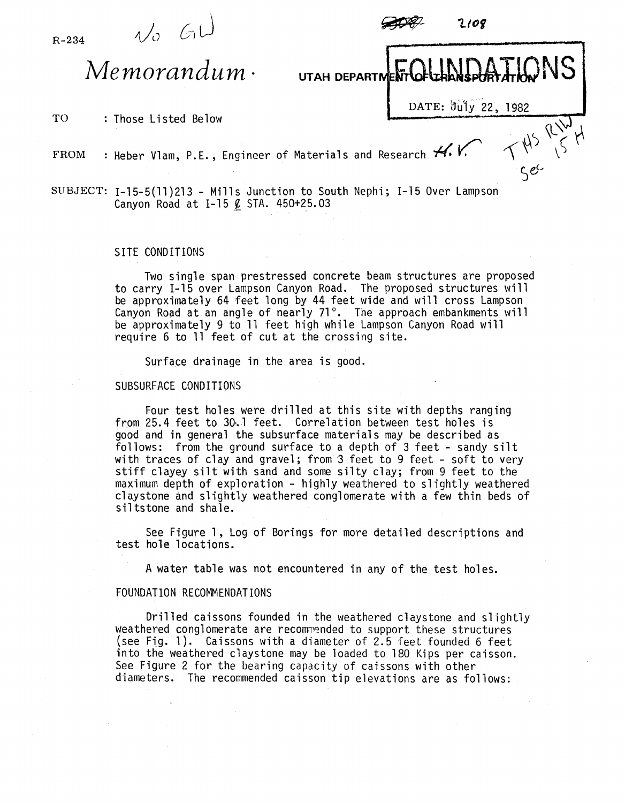R-234

 $\psi$  GL



 $Memoryum \cdot$ 

TO : Those Listed Below

DATE:  $\frac{\partial u \overline{\partial y}}{\partial z}$ , 1982<br>rch  $H. V. \qquad \qquad \left\{\begin{matrix} 1 & 0 \\ 0 & 1 \end{matrix}\right\}$ 

2108

FROM : Heber Vlam, P.E., Engineer of Materials and Research  $H$ .

SUBJECT: 1-15-5(11)213 - Mills Junction to South Nephi; 1-15 Over Lampson Canyon Road at I-15  $\ell$  STA. 450+25.03

## SITE CONDITIONS

Two single span prestressed concrete beam structures are proposed to carry 1-15 over Lampson Canyon Road. The proposed structures will be approximately 64 feet long by 44 feet wide and will cross Lampson Canyon Road at an angle of nearly 71°. The approach embankments will be approximately 9 to 11 feet high while Lampson Canyon Road will require 6 to 11 feet of cut at the crossing site.

Surface drainage in the area is good.

## SUBSURFACE CONDITIONS

Four test holes were drilled at this site with depths ranging from 25.4 feet to 30~1 feet. Correlation between test holes is good and in general the subsurface materials may be described as follows: from the ground surface to a depth of 3 feet - sandy silt with traces of clay and gravel; from '3 feet to 9 feet - soft to very stiff clayey silt with sand and some silty clay; from 9 feet to the maximum depth of exploration - highly weathered to slightly weathered claystone and slightly weathered conglomerate with a few thin beds of siltstone and shale.

See Figure 1, Log of Borings for more detailed descriptions and test hole locations.

A water table was not encountered in any of the test holes.

## FOUNDATION RECOMMENDATIONS

Drilled caissons founded in the weathered claystone and slightly weathered conglomerate are recommended to support these structures (see Fig. 1). Caissons with a diameter of 2.5 feet founded 6 feet into the weathered claystone may be loaded to 180 Kips per caisson. See Figure 2 for the bearing capacity of caissons with other diameters. The recommended caisson tip elevations are as follows: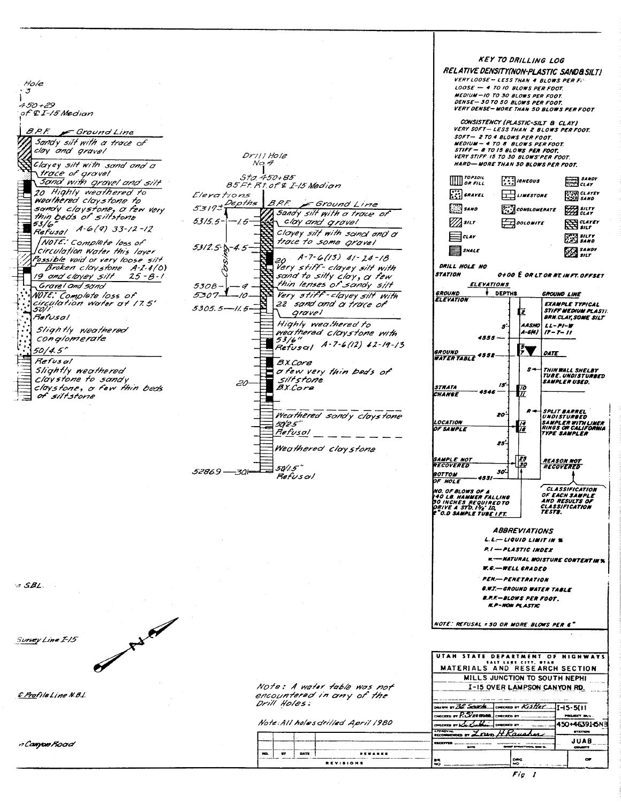| Hole<br>ラ<br>$450 + 29$<br>of & I-15 Median<br>B.P.F. F Ground Line<br>Sandy silt with a trace of<br>clay and gravel<br>Clayey silt with sand and a<br>trace of gravel<br>Sand with grovel and silt<br>20 Highly weathered to<br>weathered claystone to<br>sandy claystone, a few very<br>thin beds of silfstone<br>53/6<br>Refusal A-6(9) 33-12-12<br>NOTE: Complete loss of<br>Circulation Water this laver<br>Possible void or very loose silt<br>Broken claystone A-1-4(0)<br>19 and cloyey silt 25-8-1<br>Gravel and sand<br>NOTE: Complete loss of<br>Circulation Water at 17.5'<br>50]]<br>Refusal<br>Slightly weathered<br>conglomerate<br>50/4.5"<br>Refus al<br>Slightly weathered<br>Claystone to sandy<br>claystone, o few thin beds<br>of siltstone | Drill Hole<br>No. 4<br>Sta 450+85<br>85Ft Rt of & I-15 Medion<br>Elerations<br>5319+Depths<br><i>B.P.F.</i><br>Ground Lime<br>Sandy silf with a trace of<br>5315.5-<br>cloy and grovel<br>Clayey silt with sand and a<br>trace to some gravel<br>5312.5-5-4.5<br>$20$ A-7-6(13) 41-24-18<br>Very stiff-clayey silt with<br>sand to silty clay, a few<br>thin lenses of sandy silt<br>530B-<br>Very stiff-clayey silt with<br>5307.<br>22 sand and a trace of<br>5305.5-11.5<br>grave l<br>Highly weathered to<br>weathered claystone with<br>$53/6$ "<br>Refusal A-7-6(12) 12-19-13<br><i>B.X.Core</i><br>o few very thin bods of<br>siltstone<br>B.X.Core<br>Weathered sandy claystone<br>50/2.5"<br>Refusal<br>Weathered Claystone<br>50/1.5°<br>5286.9 - 30=<br>Refusol | <b>KEY TO DRILLING LOG</b><br>RELATIVE DENSITY(NON-PLASTIC SANDASILT)<br>VERY LOOSE - LESS THAN 4 BLOWS PER FIL<br>$LOOSE$ - 4 TO 10 BLOWS PER FOOT.<br>MEDIUM-IO TO 30 BLOWS PER FOOT.<br>DENSE - 30 TO 50 BLOWS PER FOOT.<br>VERY DENSE-MORE THAN 50 BLOWS PER FOOT<br>CONSISTENCY (PLASTIC-SILT & CLAY)<br>VERY SOFT - LESS THAN 2 BLOWS PER FOOT.<br>SOFT- 2 TO 4 BLOWS PER FOOT.<br>MEDIUM - 4 TO 8 BLOWS PER FOOT.<br>STIFF - 8 TO 15 BLOWS PER FOOT.<br>VERY STIFF 15 TO 30 BLOWS PER FOOT.<br>HARD-MORE THAN 30 BLOWS PER FOOT.<br><b>WWW TOPSOIL</b><br>3 SANOY<br>$\left\{ \begin{matrix} 1 \\ 2 \end{matrix} \right\}$ is negative.<br><b>CLAY</b><br>$\binom{1}{k}$ GRAVEL<br>म् <b>स्</b> clarer<br>$\pm$ UNESTONE<br><b>SANO</b><br>$\Box$ sano<br><b>A. A CONGLOMERATE</b><br>$\mathbb{Z}$ surr<br>$\mathbb{Z}/\mathbb{Z}$ siLT<br>$\pm$<br>$\boxtimes$ sur $r$<br>$\equiv$ alar<br>$\sum_{i=1}^{n}$ silty<br>SHALE<br><b>SANDY</b><br>511T<br>DRILL HOLE NO<br><b>STATION</b><br>0+00 E OR LT. OR RT. IN FT. OFFSET<br><b>ELEVATIONS</b><br><b>V DEPTHS</b><br><b>GROUND</b><br><b>GROUND LINE</b><br><b>ELEVATION</b><br><b>EXAMPLE TYPICAL</b><br><b>STIFF MEDIUM PLASTI.</b><br>Ŀ.<br><b>BRN.CLAY, SOME SILT</b><br>AASHO LL-PI-W<br>s.<br>A-6f4)   17 - 7- 11<br>4555 —<br>₹<br>GROUND<br>DATE<br>WATER TABLE 4552<br>$s$ —<br>THIN WALL SHELBY<br>TUBE. UNDISTURBED<br>SAMPLER USED.<br>15<br>STRATA<br>70<br>$\overline{u}$<br>CHANGE<br><b>SPLIT BARREL</b><br>20<br><b>UNDISTURBED</b><br>LOCATION<br><b>SAMPLER WITH LINER</b><br>RINGS OR CALIFORNIA<br>OF SAMPLE<br>TYPE SAMPLER<br>25'<br>SAMPLE NOT<br><b>REASON NOT</b><br>50<br>RECOVERED<br>RECOVERED<br>30.<br><i><b>BOTTOM</b></i><br>4531<br>OF HOLF<br>CLASSIFICATION<br>NO. OF BLOWS OF A<br>OF EACH SAMPLE<br>40 LB. HAMMER FALLING<br>AND RESULTS OF<br><b>30 INCHES REQUIREDTO</b><br>PRIVE A STD. 14 <sub>8</sub> ID.<br>CLASSIFICATION<br>TESTS.<br>"O.D SAMPLE TUB <u>E I FT.</u><br><b>ABBREVIATIONS</b> |
|------------------------------------------------------------------------------------------------------------------------------------------------------------------------------------------------------------------------------------------------------------------------------------------------------------------------------------------------------------------------------------------------------------------------------------------------------------------------------------------------------------------------------------------------------------------------------------------------------------------------------------------------------------------------------------------------------------------------------------------------------------------|----------------------------------------------------------------------------------------------------------------------------------------------------------------------------------------------------------------------------------------------------------------------------------------------------------------------------------------------------------------------------------------------------------------------------------------------------------------------------------------------------------------------------------------------------------------------------------------------------------------------------------------------------------------------------------------------------------------------------------------------------------------------------|------------------------------------------------------------------------------------------------------------------------------------------------------------------------------------------------------------------------------------------------------------------------------------------------------------------------------------------------------------------------------------------------------------------------------------------------------------------------------------------------------------------------------------------------------------------------------------------------------------------------------------------------------------------------------------------------------------------------------------------------------------------------------------------------------------------------------------------------------------------------------------------------------------------------------------------------------------------------------------------------------------------------------------------------------------------------------------------------------------------------------------------------------------------------------------------------------------------------------------------------------------------------------------------------------------------------------------------------------------------------------------------------------------------------------------------------------------------------------------------------------------------------------------------------------------------------------------------------------------------------------------------------------------------------------------------------------------------------------------------------------------------------------------------------------------------------------------------------------------------------------------------------------------------------------------------------------------------------------------------------------|
| A SBL.                                                                                                                                                                                                                                                                                                                                                                                                                                                                                                                                                                                                                                                                                                                                                           |                                                                                                                                                                                                                                                                                                                                                                                                                                                                                                                                                                                                                                                                                                                                                                            | $L.L \rightarrow L/QUID LIMIT IN S$<br>P.I - PLASTIC INDEX<br><b>R. -- NATURAL MOISTURE CONTENTINY.</b><br><b>W.G.-WELL GRADED</b><br><b>PEN-PENETRATION</b><br><i><b>G.W.T. - GROUND WATER TABLE</b></i><br>B.P.K-BLOWS PER FOOT.<br><b>K.P-NOW PLASTIC</b>                                                                                                                                                                                                                                                                                                                                                                                                                                                                                                                                                                                                                                                                                                                                                                                                                                                                                                                                                                                                                                                                                                                                                                                                                                                                                                                                                                                                                                                                                                                                                                                                                                                                                                                                         |
| Survey Line I-15                                                                                                                                                                                                                                                                                                                                                                                                                                                                                                                                                                                                                                                                                                                                                 |                                                                                                                                                                                                                                                                                                                                                                                                                                                                                                                                                                                                                                                                                                                                                                            | NOTE: REFUSAL = 50 OR MORE BLOWS PER 6"<br>UTAH STATE DEPARTMENT OF HIGHWAYS                                                                                                                                                                                                                                                                                                                                                                                                                                                                                                                                                                                                                                                                                                                                                                                                                                                                                                                                                                                                                                                                                                                                                                                                                                                                                                                                                                                                                                                                                                                                                                                                                                                                                                                                                                                                                                                                                                                         |
| C Profile Line N.B.L.                                                                                                                                                                                                                                                                                                                                                                                                                                                                                                                                                                                                                                                                                                                                            | Note: A water table was not<br>encountered in any of the<br>Drill Holes.<br>Note: All holes drilled April 1980                                                                                                                                                                                                                                                                                                                                                                                                                                                                                                                                                                                                                                                             | SALT LAKE CITY, BTAN<br><b>MATERIALS AND RESEARCH SECTION</b><br>MILLS JUNCTION TO SOUTH NEPHI<br>I-15 OVER LAMPSON CANYON RD.<br>mari er <i>Bl. Seder</i> ka<br><b>CHECKED BY Kistler</b><br>I-15-5(II<br>$secan$ or $R$ . See 6 00 00.<br>PROJECT IRAN<br><b>CHECKED BY</b><br>mento eradiadade<br>450+46391.6N3<br><b>DECERD BY</b>                                                                                                                                                                                                                                                                                                                                                                                                                                                                                                                                                                                                                                                                                                                                                                                                                                                                                                                                                                                                                                                                                                                                                                                                                                                                                                                                                                                                                                                                                                                                                                                                                                                               |
| n Cainpoin Road                                                                                                                                                                                                                                                                                                                                                                                                                                                                                                                                                                                                                                                                                                                                                  | $\mathbf{r}$<br><b>DATE</b><br><b>*******</b><br>NO.<br>REVISIONS                                                                                                                                                                                                                                                                                                                                                                                                                                                                                                                                                                                                                                                                                                          | <b>BYATION</b><br>H Kavebn<br>$\bf{e}$ in $\bf{Z}$ $\bf{e}$<br>JUAB<br><b>GALLERY STREAM</b> TOOLS<br>COUNTY<br>pas<br>$\mathbf{C}$<br>BR.<br>ю<br>$\sim$                                                                                                                                                                                                                                                                                                                                                                                                                                                                                                                                                                                                                                                                                                                                                                                                                                                                                                                                                                                                                                                                                                                                                                                                                                                                                                                                                                                                                                                                                                                                                                                                                                                                                                                                                                                                                                            |
|                                                                                                                                                                                                                                                                                                                                                                                                                                                                                                                                                                                                                                                                                                                                                                  |                                                                                                                                                                                                                                                                                                                                                                                                                                                                                                                                                                                                                                                                                                                                                                            | Fio                                                                                                                                                                                                                                                                                                                                                                                                                                                                                                                                                                                                                                                                                                                                                                                                                                                                                                                                                                                                                                                                                                                                                                                                                                                                                                                                                                                                                                                                                                                                                                                                                                                                                                                                                                                                                                                                                                                                                                                                  |